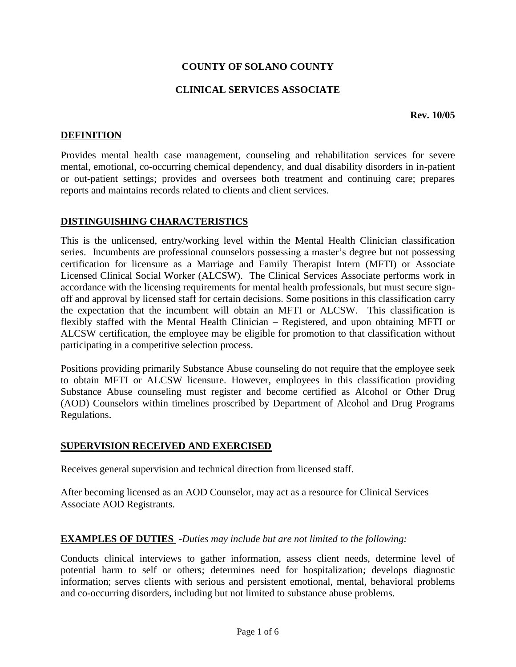## **COUNTY OF SOLANO COUNTY**

## **CLINICAL SERVICES ASSOCIATE**

#### **Rev. 10/05**

## **DEFINITION**

Provides mental health case management, counseling and rehabilitation services for severe mental, emotional, co-occurring chemical dependency, and dual disability disorders in in-patient or out-patient settings; provides and oversees both treatment and continuing care; prepares reports and maintains records related to clients and client services.

### **DISTINGUISHING CHARACTERISTICS**

This is the unlicensed, entry/working level within the Mental Health Clinician classification series. Incumbents are professional counselors possessing a master's degree but not possessing certification for licensure as a Marriage and Family Therapist Intern (MFTI) or Associate Licensed Clinical Social Worker (ALCSW). The Clinical Services Associate performs work in accordance with the licensing requirements for mental health professionals, but must secure signoff and approval by licensed staff for certain decisions. Some positions in this classification carry the expectation that the incumbent will obtain an MFTI or ALCSW. This classification is flexibly staffed with the Mental Health Clinician – Registered, and upon obtaining MFTI or ALCSW certification, the employee may be eligible for promotion to that classification without participating in a competitive selection process.

Positions providing primarily Substance Abuse counseling do not require that the employee seek to obtain MFTI or ALCSW licensure. However, employees in this classification providing Substance Abuse counseling must register and become certified as Alcohol or Other Drug (AOD) Counselors within timelines proscribed by Department of Alcohol and Drug Programs Regulations.

### **SUPERVISION RECEIVED AND EXERCISED**

Receives general supervision and technical direction from licensed staff.

After becoming licensed as an AOD Counselor, may act as a resource for Clinical Services Associate AOD Registrants.

### **EXAMPLES OF DUTIES** -*Duties may include but are not limited to the following:*

Conducts clinical interviews to gather information, assess client needs, determine level of potential harm to self or others; determines need for hospitalization; develops diagnostic information; serves clients with serious and persistent emotional, mental, behavioral problems and co-occurring disorders, including but not limited to substance abuse problems.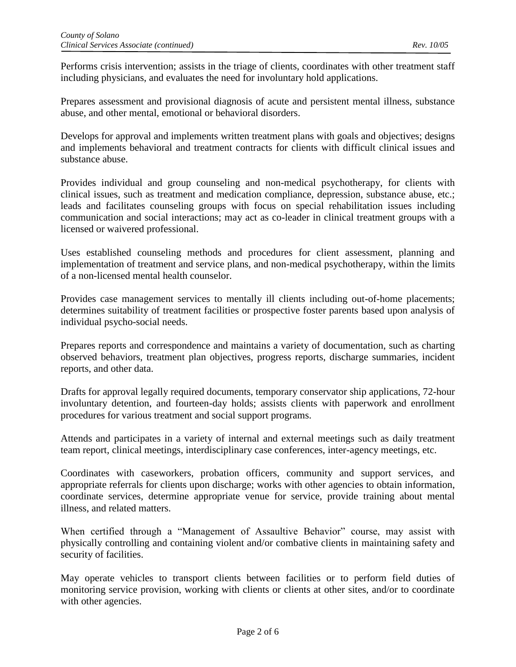Performs crisis intervention; assists in the triage of clients, coordinates with other treatment staff including physicians, and evaluates the need for involuntary hold applications.

Prepares assessment and provisional diagnosis of acute and persistent mental illness, substance abuse, and other mental, emotional or behavioral disorders.

Develops for approval and implements written treatment plans with goals and objectives; designs and implements behavioral and treatment contracts for clients with difficult clinical issues and substance abuse.

Provides individual and group counseling and non-medical psychotherapy, for clients with clinical issues, such as treatment and medication compliance, depression, substance abuse, etc.; leads and facilitates counseling groups with focus on special rehabilitation issues including communication and social interactions; may act as co-leader in clinical treatment groups with a licensed or waivered professional.

Uses established counseling methods and procedures for client assessment, planning and implementation of treatment and service plans, and non-medical psychotherapy, within the limits of a non-licensed mental health counselor.

Provides case management services to mentally ill clients including out-of-home placements; determines suitability of treatment facilities or prospective foster parents based upon analysis of individual psycho-social needs.

Prepares reports and correspondence and maintains a variety of documentation, such as charting observed behaviors, treatment plan objectives, progress reports, discharge summaries, incident reports, and other data.

Drafts for approval legally required documents, temporary conservator ship applications, 72-hour involuntary detention, and fourteen-day holds; assists clients with paperwork and enrollment procedures for various treatment and social support programs.

Attends and participates in a variety of internal and external meetings such as daily treatment team report, clinical meetings, interdisciplinary case conferences, inter-agency meetings, etc.

Coordinates with caseworkers, probation officers, community and support services, and appropriate referrals for clients upon discharge; works with other agencies to obtain information, coordinate services, determine appropriate venue for service, provide training about mental illness, and related matters.

When certified through a "Management of Assaultive Behavior" course, may assist with physically controlling and containing violent and/or combative clients in maintaining safety and security of facilities.

May operate vehicles to transport clients between facilities or to perform field duties of monitoring service provision, working with clients or clients at other sites, and/or to coordinate with other agencies.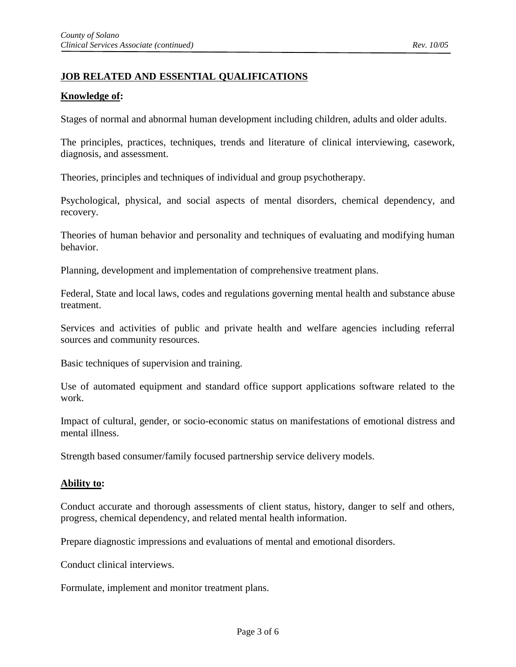# **JOB RELATED AND ESSENTIAL QUALIFICATIONS**

### **Knowledge of:**

Stages of normal and abnormal human development including children, adults and older adults.

The principles, practices, techniques, trends and literature of clinical interviewing, casework, diagnosis, and assessment.

Theories, principles and techniques of individual and group psychotherapy.

Psychological, physical, and social aspects of mental disorders, chemical dependency, and recovery.

Theories of human behavior and personality and techniques of evaluating and modifying human behavior.

Planning, development and implementation of comprehensive treatment plans.

Federal, State and local laws, codes and regulations governing mental health and substance abuse treatment.

Services and activities of public and private health and welfare agencies including referral sources and community resources.

Basic techniques of supervision and training.

Use of automated equipment and standard office support applications software related to the work.

Impact of cultural, gender, or socio-economic status on manifestations of emotional distress and mental illness.

Strength based consumer/family focused partnership service delivery models.

#### **Ability to:**

Conduct accurate and thorough assessments of client status, history, danger to self and others, progress, chemical dependency, and related mental health information.

Prepare diagnostic impressions and evaluations of mental and emotional disorders.

Conduct clinical interviews.

Formulate, implement and monitor treatment plans.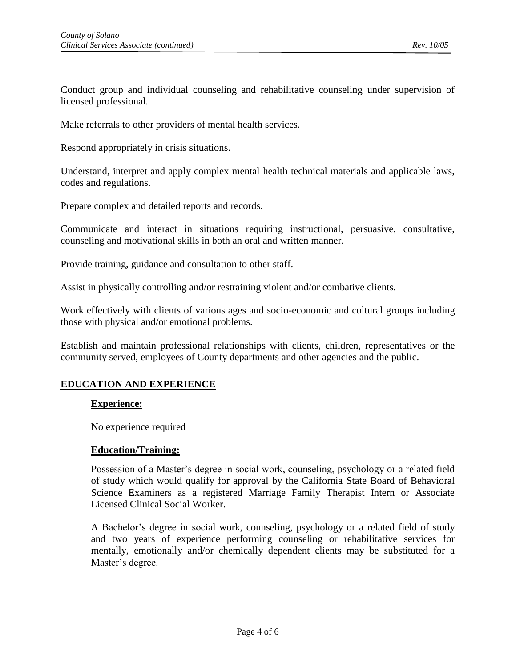Conduct group and individual counseling and rehabilitative counseling under supervision of licensed professional.

Make referrals to other providers of mental health services.

Respond appropriately in crisis situations.

Understand, interpret and apply complex mental health technical materials and applicable laws, codes and regulations.

Prepare complex and detailed reports and records.

Communicate and interact in situations requiring instructional, persuasive, consultative, counseling and motivational skills in both an oral and written manner.

Provide training, guidance and consultation to other staff.

Assist in physically controlling and/or restraining violent and/or combative clients.

Work effectively with clients of various ages and socio-economic and cultural groups including those with physical and/or emotional problems.

Establish and maintain professional relationships with clients, children, representatives or the community served, employees of County departments and other agencies and the public.

### **EDUCATION AND EXPERIENCE**

#### **Experience:**

No experience required

#### **Education/Training:**

Possession of a Master's degree in social work, counseling, psychology or a related field of study which would qualify for approval by the California State Board of Behavioral Science Examiners as a registered Marriage Family Therapist Intern or Associate Licensed Clinical Social Worker.

A Bachelor's degree in social work, counseling, psychology or a related field of study and two years of experience performing counseling or rehabilitative services for mentally, emotionally and/or chemically dependent clients may be substituted for a Master's degree.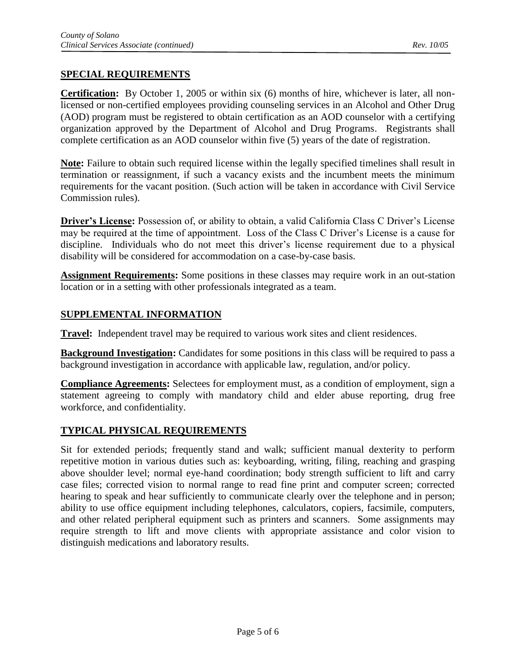# **SPECIAL REQUIREMENTS**

**Certification:** By October 1, 2005 or within six (6) months of hire, whichever is later, all nonlicensed or non-certified employees providing counseling services in an Alcohol and Other Drug (AOD) program must be registered to obtain certification as an AOD counselor with a certifying organization approved by the Department of Alcohol and Drug Programs. Registrants shall complete certification as an AOD counselor within five (5) years of the date of registration.

**Note:** Failure to obtain such required license within the legally specified timelines shall result in termination or reassignment, if such a vacancy exists and the incumbent meets the minimum requirements for the vacant position. (Such action will be taken in accordance with Civil Service Commission rules).

**Driver's License:** Possession of, or ability to obtain, a valid California Class C Driver's License may be required at the time of appointment. Loss of the Class C Driver's License is a cause for discipline. Individuals who do not meet this driver's license requirement due to a physical disability will be considered for accommodation on a case-by-case basis.

**Assignment Requirements:** Some positions in these classes may require work in an out-station location or in a setting with other professionals integrated as a team.

## **SUPPLEMENTAL INFORMATION**

**Travel:** Independent travel may be required to various work sites and client residences.

**Background Investigation:** Candidates for some positions in this class will be required to pass a background investigation in accordance with applicable law, regulation, and/or policy.

**Compliance Agreements:** Selectees for employment must, as a condition of employment, sign a statement agreeing to comply with mandatory child and elder abuse reporting, drug free workforce, and confidentiality.

## **TYPICAL PHYSICAL REQUIREMENTS**

Sit for extended periods; frequently stand and walk; sufficient manual dexterity to perform repetitive motion in various duties such as: keyboarding, writing, filing, reaching and grasping above shoulder level; normal eye-hand coordination; body strength sufficient to lift and carry case files; corrected vision to normal range to read fine print and computer screen; corrected hearing to speak and hear sufficiently to communicate clearly over the telephone and in person; ability to use office equipment including telephones, calculators, copiers, facsimile, computers, and other related peripheral equipment such as printers and scanners. Some assignments may require strength to lift and move clients with appropriate assistance and color vision to distinguish medications and laboratory results.